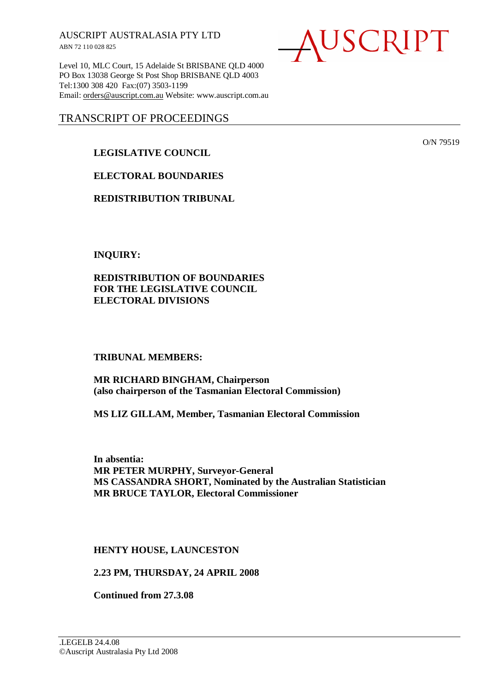AUSCRIPT AUSTRALASIA PTY LTD ABN 72 110 028 825

Level 10, MLC Court, 15 Adelaide St BRISBANE QLD 4000 PO Box 13038 George St Post Shop BRISBANE QLD 4003 Tel:1300 308 420 Fax:(07) 3503-1199 Email: orders@auscript.com.au Website: www.auscript.com.au

# TRANSCRIPT OF PROCEEDINGS

# **LEGISLATIVE COUNCIL**

**ELECTORAL BOUNDARIES** 

**REDISTRIBUTION TRIBUNAL** 

**INQUIRY:** 

**REDISTRIBUTION OF BOUNDARIES FOR THE LEGISLATIVE COUNCIL ELECTORAL DIVISIONS** 

### **TRIBUNAL MEMBERS:**

**MR RICHARD BINGHAM, Chairperson (also chairperson of the Tasmanian Electoral Commission)** 

**MS LIZ GILLAM, Member, Tasmanian Electoral Commission** 

**In absentia: MR PETER MURPHY, Surveyor-General MS CASSANDRA SHORT, Nominated by the Australian Statistician MR BRUCE TAYLOR, Electoral Commissioner** 

**HENTY HOUSE, LAUNCESTON** 

**2.23 PM, THURSDAY, 24 APRIL 2008** 

**Continued from 27.3.08** 

USCRIPT

O/N 79519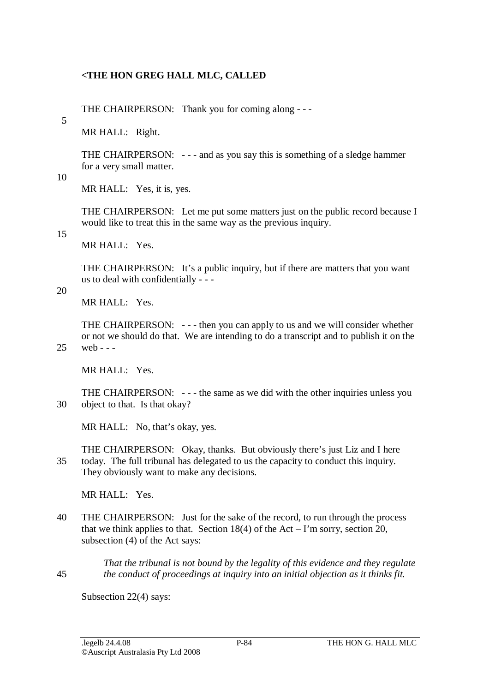### **<THE HON GREG HALL MLC, CALLED**

THE CHAIRPERSON: Thank you for coming along - - -

MR HALL: Right.

THE CHAIRPERSON: - - - and as you say this is something of a sledge hammer for a very small matter.

10

5

MR HALL: Yes, it is, yes.

THE CHAIRPERSON: Let me put some matters just on the public record because I would like to treat this in the same way as the previous inquiry.

15

MR HALL: Yes.

THE CHAIRPERSON: It's a public inquiry, but if there are matters that you want us to deal with confidentially - - -

20

MR HALL: Yes.

THE CHAIRPERSON: - - - then you can apply to us and we will consider whether or not we should do that. We are intending to do a transcript and to publish it on the 25 web - - -

MR HALL: Yes.

THE CHAIRPERSON: - - - the same as we did with the other inquiries unless you 30 object to that. Is that okay?

MR HALL: No, that's okay, yes.

THE CHAIRPERSON: Okay, thanks. But obviously there's just Liz and I here 35 today. The full tribunal has delegated to us the capacity to conduct this inquiry. They obviously want to make any decisions.

MR HALL: Yes.

40 THE CHAIRPERSON: Just for the sake of the record, to run through the process that we think applies to that. Section 18(4) of the Act – I'm sorry, section 20, subsection (4) of the Act says:

*That the tribunal is not bound by the legality of this evidence and they regulate*  45 *the conduct of proceedings at inquiry into an initial objection as it thinks fit.* 

Subsection 22(4) says: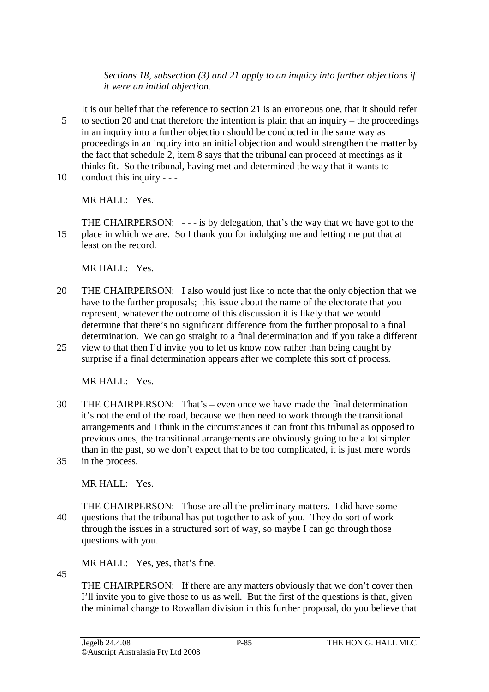*Sections 18, subsection (3) and 21 apply to an inquiry into further objections if it were an initial objection.* 

It is our belief that the reference to section 21 is an erroneous one, that it should refer 5 to section 20 and that therefore the intention is plain that an inquiry – the proceedings in an inquiry into a further objection should be conducted in the same way as proceedings in an inquiry into an initial objection and would strengthen the matter by the fact that schedule 2, item 8 says that the tribunal can proceed at meetings as it thinks fit. So the tribunal, having met and determined the way that it wants to 10 conduct this inquiry - - -

MR HALL: Yes.

THE CHAIRPERSON: - - - is by delegation, that's the way that we have got to the 15 place in which we are. So I thank you for indulging me and letting me put that at least on the record.

MR HALL: Yes.

- 20 THE CHAIRPERSON: I also would just like to note that the only objection that we have to the further proposals; this issue about the name of the electorate that you represent, whatever the outcome of this discussion it is likely that we would determine that there's no significant difference from the further proposal to a final determination. We can go straight to a final determination and if you take a different
- 25 view to that then I'd invite you to let us know now rather than being caught by surprise if a final determination appears after we complete this sort of process.

MR HALL: Yes.

30 THE CHAIRPERSON: That's – even once we have made the final determination it's not the end of the road, because we then need to work through the transitional arrangements and I think in the circumstances it can front this tribunal as opposed to previous ones, the transitional arrangements are obviously going to be a lot simpler than in the past, so we don't expect that to be too complicated, it is just mere words 35 in the process.

MR HALL: Yes.

THE CHAIRPERSON: Those are all the preliminary matters. I did have some 40 questions that the tribunal has put together to ask of you. They do sort of work through the issues in a structured sort of way, so maybe I can go through those questions with you.

MR HALL: Yes, yes, that's fine.

45

THE CHAIRPERSON: If there are any matters obviously that we don't cover then I'll invite you to give those to us as well. But the first of the questions is that, given the minimal change to Rowallan division in this further proposal, do you believe that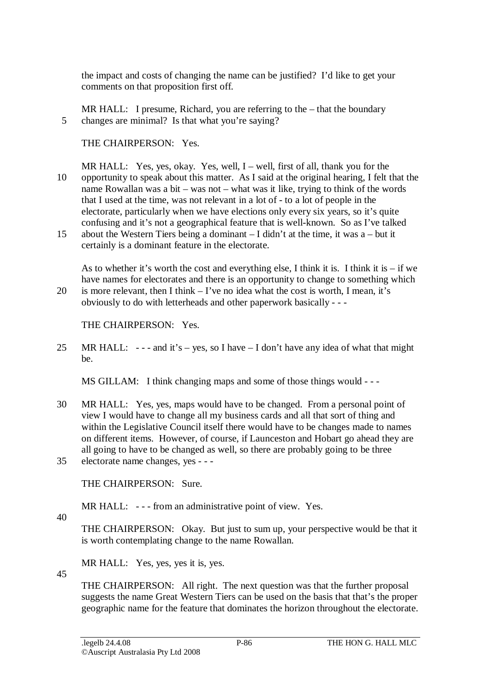the impact and costs of changing the name can be justified? I'd like to get your comments on that proposition first off.

MR HALL: I presume, Richard, you are referring to the – that the boundary 5 changes are minimal? Is that what you're saying?

THE CHAIRPERSON: Yes.

- MR HALL: Yes, yes, okay. Yes, well, I well, first of all, thank you for the 10 opportunity to speak about this matter. As I said at the original hearing, I felt that the name Rowallan was a bit – was not – what was it like, trying to think of the words that I used at the time, was not relevant in a lot of - to a lot of people in the electorate, particularly when we have elections only every six years, so it's quite confusing and it's not a geographical feature that is well-known. So as I've talked
- 15 about the Western Tiers being a dominant I didn't at the time, it was a but it certainly is a dominant feature in the electorate.

As to whether it's worth the cost and everything else, I think it is. I think it is – if we have names for electorates and there is an opportunity to change to something which 20 is more relevant, then I think – I've no idea what the cost is worth, I mean, it's obviously to do with letterheads and other paperwork basically - - -

THE CHAIRPERSON: Yes.

25 MR HALL:  $--$  and it's – yes, so I have – I don't have any idea of what that might be.

MS GILLAM: I think changing maps and some of those things would - - -

30 MR HALL: Yes, yes, maps would have to be changed. From a personal point of view I would have to change all my business cards and all that sort of thing and within the Legislative Council itself there would have to be changes made to names on different items. However, of course, if Launceston and Hobart go ahead they are all going to have to be changed as well, so there are probably going to be three 35 electorate name changes, yes - - -

THE CHAIRPERSON: Sure.

MR HALL: --- from an administrative point of view. Yes.

40

THE CHAIRPERSON: Okay. But just to sum up, your perspective would be that it is worth contemplating change to the name Rowallan.

MR HALL: Yes, yes, yes it is, yes.

45 THE CHAIRPERSON: All right. The next question was that the further proposal suggests the name Great Western Tiers can be used on the basis that that's the proper geographic name for the feature that dominates the horizon throughout the electorate.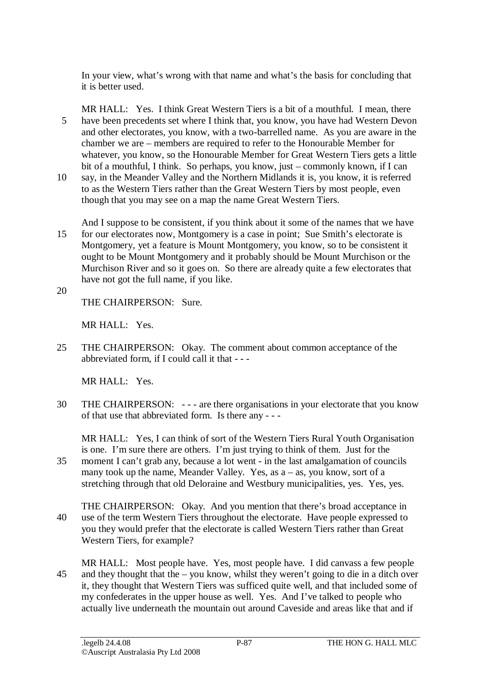In your view, what's wrong with that name and what's the basis for concluding that it is better used.

MR HALL: Yes. I think Great Western Tiers is a bit of a mouthful. I mean, there 5 have been precedents set where I think that, you know, you have had Western Devon and other electorates, you know, with a two-barrelled name. As you are aware in the chamber we are – members are required to refer to the Honourable Member for whatever, you know, so the Honourable Member for Great Western Tiers gets a little bit of a mouthful, I think. So perhaps, you know, just – commonly known, if I can

- 10 say, in the Meander Valley and the Northern Midlands it is, you know, it is referred to as the Western Tiers rather than the Great Western Tiers by most people, even though that you may see on a map the name Great Western Tiers.
- And I suppose to be consistent, if you think about it some of the names that we have 15 for our electorates now, Montgomery is a case in point; Sue Smith's electorate is Montgomery, yet a feature is Mount Montgomery, you know, so to be consistent it ought to be Mount Montgomery and it probably should be Mount Murchison or the Murchison River and so it goes on. So there are already quite a few electorates that have not got the full name, if you like.
- 20

THE CHAIRPERSON: Sure.

MR HALL: Yes.

25 THE CHAIRPERSON: Okay. The comment about common acceptance of the abbreviated form, if I could call it that - - -

MR HALL: Yes.

30 THE CHAIRPERSON: - - - are there organisations in your electorate that you know of that use that abbreviated form. Is there any - - -

MR HALL: Yes, I can think of sort of the Western Tiers Rural Youth Organisation is one. I'm sure there are others. I'm just trying to think of them. Just for the 35 moment I can't grab any, because a lot went - in the last amalgamation of councils many took up the name, Meander Valley. Yes, as a – as, you know, sort of a stretching through that old Deloraine and Westbury municipalities, yes. Yes, yes.

- THE CHAIRPERSON: Okay. And you mention that there's broad acceptance in 40 use of the term Western Tiers throughout the electorate. Have people expressed to you they would prefer that the electorate is called Western Tiers rather than Great Western Tiers, for example?
- MR HALL: Most people have. Yes, most people have. I did canvass a few people 45 and they thought that the – you know, whilst they weren't going to die in a ditch over it, they thought that Western Tiers was sufficed quite well, and that included some of my confederates in the upper house as well. Yes. And I've talked to people who actually live underneath the mountain out around Caveside and areas like that and if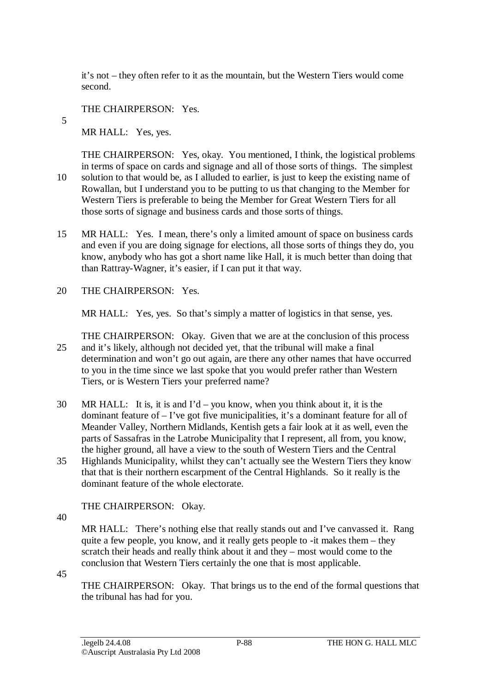it's not – they often refer to it as the mountain, but the Western Tiers would come second.

THE CHAIRPERSON: Yes.

5

MR HALL: Yes, yes.

THE CHAIRPERSON: Yes, okay. You mentioned, I think, the logistical problems in terms of space on cards and signage and all of those sorts of things. The simplest 10 solution to that would be, as I alluded to earlier, is just to keep the existing name of Rowallan, but I understand you to be putting to us that changing to the Member for Western Tiers is preferable to being the Member for Great Western Tiers for all those sorts of signage and business cards and those sorts of things.

- 15 MR HALL: Yes. I mean, there's only a limited amount of space on business cards and even if you are doing signage for elections, all those sorts of things they do, you know, anybody who has got a short name like Hall, it is much better than doing that than Rattray-Wagner, it's easier, if I can put it that way.
- 20 THE CHAIRPERSON: Yes.

MR HALL: Yes, yes. So that's simply a matter of logistics in that sense, yes.

THE CHAIRPERSON: Okay. Given that we are at the conclusion of this process 25 and it's likely, although not decided yet, that the tribunal will make a final determination and won't go out again, are there any other names that have occurred to you in the time since we last spoke that you would prefer rather than Western Tiers, or is Western Tiers your preferred name?

- 30 MR HALL: It is, it is and I'd you know, when you think about it, it is the dominant feature of – I've got five municipalities, it's a dominant feature for all of Meander Valley, Northern Midlands, Kentish gets a fair look at it as well, even the parts of Sassafras in the Latrobe Municipality that I represent, all from, you know, the higher ground, all have a view to the south of Western Tiers and the Central
- 35 Highlands Municipality, whilst they can't actually see the Western Tiers they know that that is their northern escarpment of the Central Highlands. So it really is the dominant feature of the whole electorate.

THE CHAIRPERSON: Okay.

40

MR HALL: There's nothing else that really stands out and I've canvassed it. Rang quite a few people, you know, and it really gets people to -it makes them – they scratch their heads and really think about it and they – most would come to the conclusion that Western Tiers certainly the one that is most applicable.

45

THE CHAIRPERSON: Okay. That brings us to the end of the formal questions that the tribunal has had for you.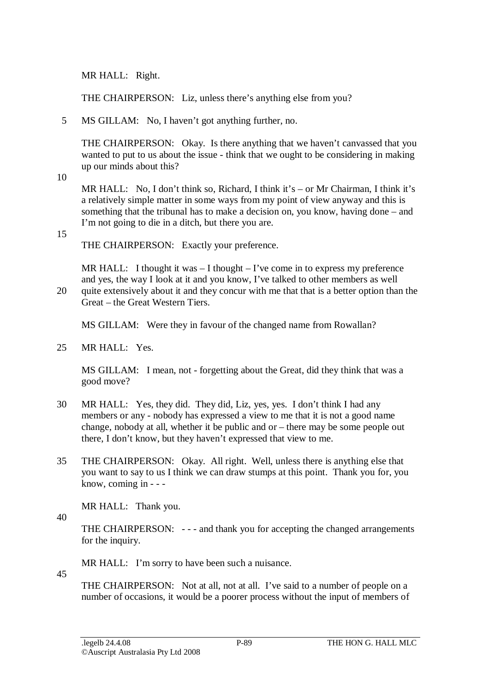MR HALL: Right.

THE CHAIRPERSON: Liz, unless there's anything else from you?

5 MS GILLAM: No, I haven't got anything further, no.

THE CHAIRPERSON: Okay. Is there anything that we haven't canvassed that you wanted to put to us about the issue - think that we ought to be considering in making up our minds about this?

10

MR HALL: No, I don't think so, Richard, I think it's – or Mr Chairman, I think it's a relatively simple matter in some ways from my point of view anyway and this is something that the tribunal has to make a decision on, you know, having done – and I'm not going to die in a ditch, but there you are.

15

THE CHAIRPERSON: Exactly your preference.

MR HALL: I thought it was  $-$  I thought  $-$  I've come in to express my preference and yes, the way I look at it and you know, I've talked to other members as well

20 quite extensively about it and they concur with me that that is a better option than the Great – the Great Western Tiers.

MS GILLAM: Were they in favour of the changed name from Rowallan?

25 MR HALL: Yes.

MS GILLAM: I mean, not - forgetting about the Great, did they think that was a good move?

- 30 MR HALL: Yes, they did. They did, Liz, yes, yes. I don't think I had any members or any - nobody has expressed a view to me that it is not a good name change, nobody at all, whether it be public and or – there may be some people out there, I don't know, but they haven't expressed that view to me.
- 35 THE CHAIRPERSON: Okay. All right. Well, unless there is anything else that you want to say to us I think we can draw stumps at this point. Thank you for, you know, coming in - - -

MR HALL: Thank you.

40

45

THE CHAIRPERSON: --- and thank you for accepting the changed arrangements for the inquiry.

MR HALL: I'm sorry to have been such a nuisance.

THE CHAIRPERSON: Not at all, not at all. I've said to a number of people on a number of occasions, it would be a poorer process without the input of members of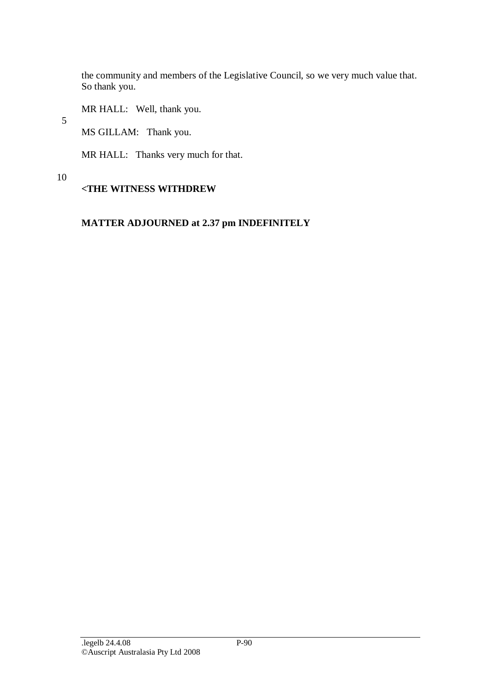the community and members of the Legislative Council, so we very much value that. So thank you.

MR HALL: Well, thank you.

5

MS GILLAM: Thank you.

MR HALL: Thanks very much for that.

#### 10

# **<THE WITNESS WITHDREW**

# **MATTER ADJOURNED at 2.37 pm INDEFINITELY**